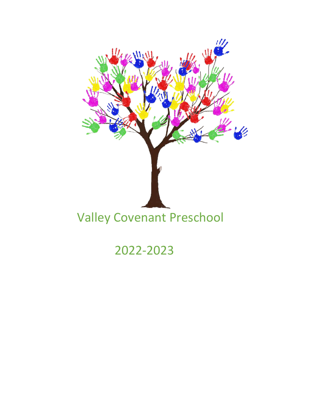

2022-2023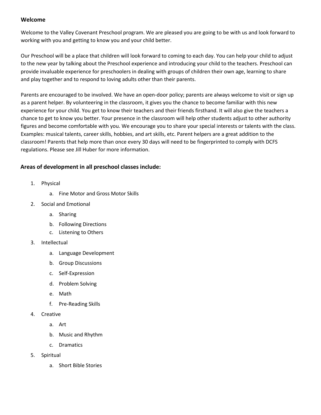#### **Welcome**

Welcome to the Valley Covenant Preschool program. We are pleased you are going to be with us and look forward to working with you and getting to know you and your child better.

Our Preschool will be a place that children will look forward to coming to each day. You can help your child to adjust to the new year by talking about the Preschool experience and introducing your child to the teachers. Preschool can provide invaluable experience for preschoolers in dealing with groups of children their own age, learning to share and play together and to respond to loving adults other than their parents.

Parents are encouraged to be involved. We have an open-door policy; parents are always welcome to visit or sign up as a parent helper. By volunteering in the classroom, it gives you the chance to become familiar with this new experience for your child. You get to know their teachers and their friends firsthand. It will also give the teachers a chance to get to know you better. Your presence in the classroom will help other students adjust to other authority figures and become comfortable with you. We encourage you to share your special interests or talents with the class. Examples: musical talents, career skills, hobbies, and art skills, etc. Parent helpers are a great addition to the classroom! Parents that help more than once every 30 days will need to be fingerprinted to comply with DCFS regulations. Please see Jill Huber for more information.

# **Areas of development in all preschool classes include:**

- 1. Physical
	- a. Fine Motor and Gross Motor Skills
- 2. Social and Emotional
	- a. Sharing
	- b. Following Directions
	- c. Listening to Others
- 3. Intellectual
	- a. Language Development
	- b. Group Discussions
	- c. Self-Expression
	- d. Problem Solving
	- e. Math
	- f. Pre-Reading Skills
- 4. Creative
	- a. Art
	- b. Music and Rhythm
	- c. Dramatics
- 5. Spiritual
	- a. Short Bible Stories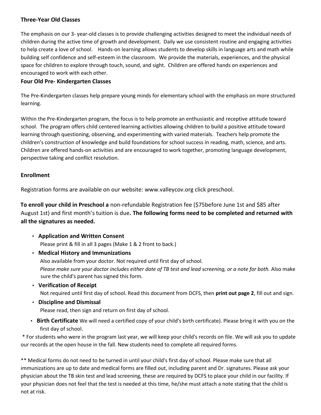## **Three-Year Old Classes**

The emphasis on our 3- year-old classes is to provide challenging activities designed to meet the individual needs of children during the active time of growth and development. Daily we use consistent routine and engaging activities to help create a love of school. Hands-on learning allows students to develop skills in language arts and math while building self confidence and self-esteem in the classroom. We provide the materials, experiences, and the physical space for children to explore through touch, sound, and sight. Children are offered hands on experiences and encouraged to work with each other.

## **Four Old Pre- Kindergarten Classes**

The Pre-Kindergarten classes help prepare young minds for elementary school with the emphasis on more structured learning.

Within the Pre-Kindergarten program, the focus is to help promote an enthusiastic and receptive attitude toward school. The program offers child centered learning activities allowing children to build a positive attitude toward learning through questioning, observing, and experimenting with varied materials. Teachers help promote the children's construction of knowledge and build foundations for school success in reading, math, science, and arts. Children are offered hands-on activities and are encouraged to work together, promoting language development, perspective taking and conflict resolution.

# **Enrollment**

Registration forms are available on our website: [www.valleycov.org](http://www.valleycov.org/) [clic](http://www.valleycov.org/)k preschool.

**To enroll your child in Preschool a** non-refundable Registration fee (\$75before June 1st and \$85 after August 1st) and first month's tuition is due**. The following forms need to be completed and returned with all the signatures as needed.** 

- **Application and Written Consent** Please print & fill in all 3 pages (Make 1 & 2 front to back.)
- **Medical History and Immunizations**

Also available from your doctor. Not required until first day of school. *Please make sure your doctor includes either date of TB test and lead screening, or a note for both.* Also make sure the child's parent has signed this form.

- **Verification of Receipt** Not required until first day of school. Read this document from DCFS, then **print out page 2**, fill out and sign.
- **Discipline and Dismissal** Please read, then sign and return on first day of school.
- **Birth Certificate** We will need a certified copy of your child's birth certificate). Please bring it with you on the first day of school.

\* For students who were in the program last year, we will keep your child's records on file. We will ask you to update our records at the open house in the fall. New students need to complete all required forms.

\*\* Medical forms do not need to be turned in until your child's first day of school. Please make sure that all immunizations are up to date and medical forms are filled out, including parent and Dr. signatures. Please ask your physician about the TB skin test and lead screening, these are required by DCFS to place your child in our facility. If your physician does not feel that the test is needed at this time, he/she must attach a note stating that the child is not at risk.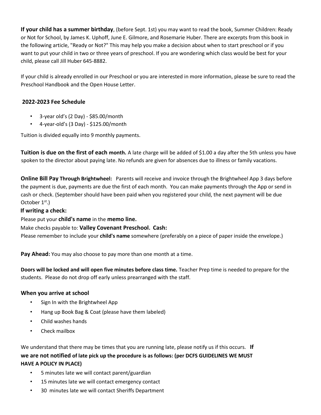**If your child has a summer birthday**, (before Sept. 1st) you may want to read the book[,](http://www.amazon.com/gp/product/0961856106/ref=nosim/102-7566063-6025708?n=283155) [Summer Children: Ready](http://www.amazon.com/gp/product/0961856106/ref=nosim/102-7566063-6025708?n=283155) [or](http://www.amazon.com/gp/product/0961856106/ref=nosim/102-7566063-6025708?n=283155) [Not for School,](http://www.amazon.com/gp/product/0961856106/ref=nosim/102-7566063-6025708?n=283155) [by](http://www.amazon.com/gp/product/0961856106/ref=nosim/102-7566063-6025708?n=283155) James K. Uphoff, June E. Gilmore, and Rosemarie Huber. There are excerpts from this book in the following articl[e,](http://www.valleycov.org/preschoolHandbook.shtml#ready) ["Ready or Not?" This](http://www.valleycov.org/preschoolHandbook.shtml#ready) may help you make a decision about when to start preschool or if you want to put your child in two or three years of preschool. If you are wondering which class would be best for your child, please call Jill Huber 645-8882.

If your child is already enrolled in our Preschool or you are interested in more information, please be sure to read the [Preschool Handbook](http://www.valleycov.org/preschoolHandbook.shtml) [and](http://www.valleycov.org/preschoolHandbook.shtml) th[e](http://www.valleycov.org/docs/open%20house.pdf) [Open House](http://www.valleycov.org/docs/open%20house.pdf) [Lett](http://www.valleycov.org/docs/open%20house.pdf)er.

# **2022-2023 Fee Schedule**

- 3-year old's (2 Day) \$85.00/month
- $\cdot$  4-year-old's (3 Day) \$125.00/month

Tuition is divided equally into 9 monthly payments.

**Tuition is due on the first of each month.** A late charge will be added of \$1.00 a day after the 5th unless you have spoken to the director about paying late. No refunds are given for absences due to illness or family vacations.

**Online Bill Pay Through Brightwheel:** Parents will receive and invoice through the Brightwheel App 3 days before the payment is due, payments are due the first of each month. You can make payments through the App or send in cash or check. (September should have been paid when you registered your child, the next payment will be due October  $1<sup>st</sup>$ .)

## **If writing a check:**

Please put your **child's name** in the **memo line.**

Make checks payable to: **Valley Covenant Preschool. Cash:** 

Please remember to include your **child's name** somewhere (preferably on a piece of paper inside the envelope.)

**Pay Ahead:** You may also choose to pay more than one month at a time.

**Doors will be locked and will open five minutes before class time.** Teacher Prep time is needed to prepare for the students. Please do not drop off early unless prearranged with the staff.

## **When you arrive at school**

- Sign In with the Brightwheel App
- Hang up Book Bag & Coat (please have them labeled)
- Child washes hands
- Check mailbox

We understand that there may be times that you are running late, please notify us if this occurs. **If we are not notified of late pick up the procedure is as follows: (per DCFS GUIDELINES WE MUST HAVE A POLICY IN PLACE)** 

- 5 minutes late we will contact parent/guardian
- 15 minutes late we will contact emergency contact
- 30 minutes late we will contact Sheriffs Department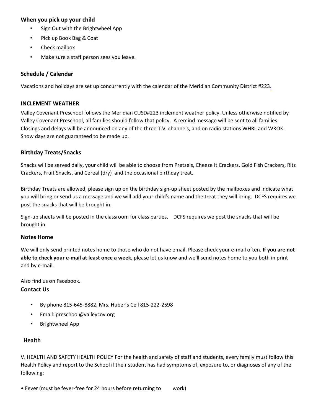## **When you pick up your child**

- Sign Out with the Brightwheel App
- Pick up Book Bag & Coat
- Check mailbox
- Make sure a staff person sees you leave.

## **Schedule [/](http://www.valleycov.org/preschoolCalendar.shtml) [Calendar](http://www.valleycov.org/preschoolCalendar.shtml)**

Vacations and holidays are set up concurrently with the calendar of th[e](http://www.meridian223.org/meridianjr/calendar/index.html) [Meridian Community District #223.](http://www.meridian223.org/meridianjr/calendar/index.html) 

#### **INCLEMENT WEATHER**

Valley Covenant Preschool follows the Meridian CUSD#223 inclement weather policy. Unless otherwise notified by Valley Covenant Preschool, all families should follow that policy. A remind message will be sent to all families. Closings and delays will be announced on any of the three T.V. channels, and on radio stations WHRL and WROK. Snow days are not guaranteed to be made up.

#### **Birthday Treats/Snacks**

Snacks will be served daily, your child will be able to choose from Pretzels, Cheeze It Crackers, Gold Fish Crackers, Ritz Crackers, Fruit Snacks, and Cereal (dry) and the occasional birthday treat.

Birthday Treats are allowed, please sign up on the birthday sign-up sheet posted by the mailboxes and indicate what you will bring or send us a message and we will add your child's name and the treat they will bring. DCFS requires we post the snacks that will be brought in.

Sign-up sheets will be posted in the classroom for class parties. DCFS requires we post the snacks that will be brought in.

#### **Notes Home**

We will only send printed notes home to those who do not have email. Please check your e-mail often. **If you are not able to check your e-mail at least once a week**, please let us know and we'll send notes home to you both in print and by e-mail.

Also find us on Facebook.

## **Contact Us**

- By phone 815-645-8882, Mrs. Huber's Cell 815-222-2598
- Email: preschool@valleycov.org
- Brightwheel App

## **Health**

V. HEALTH AND SAFETY HEALTH POLICY For the health and safety of staff and students, every family must follow this Health Policy and report to the School if their student has had symptoms of, exposure to, or diagnoses of any of the following:

• Fever (must be fever-free for 24 hours before returning to work)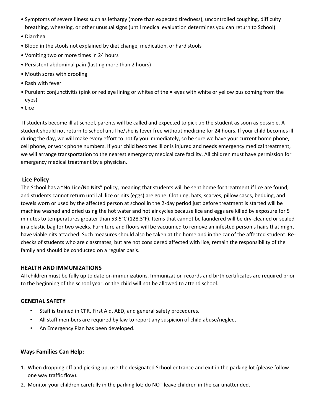- Symptoms of severe illness such as lethargy (more than expected tiredness), uncontrolled coughing, difficulty breathing, wheezing, or other unusual signs (until medical evaluation determines you can return to School)
- Diarrhea
- Blood in the stools not explained by diet change, medication, or hard stools
- Vomiting two or more times in 24 hours
- Persistent abdominal pain (lasting more than 2 hours)
- Mouth sores with drooling
- Rash with fever
- Purulent conjunctivitis (pink or red eye lining or whites of the eyes with white or yellow pus coming from the eyes)
- Lice

If students become ill at school, parents will be called and expected to pick up the student as soon as possible. A student should not return to school until he/she is fever free without medicine for 24 hours. If your child becomes ill during the day, we will make every effort to notify you immediately, so be sure we have your current home phone, cell phone, or work phone numbers. If your child becomes ill or is injured and needs emergency medical treatment, we will arrange transportation to the nearest emergency medical care facility. All children must have permission for emergency medical treatment by a physician.

## **Lice Policy**

The School has a "No Lice/No Nits" policy, meaning that students will be sent home for treatment if lice are found, and students cannot return until all lice or nits (eggs) are gone. Clothing, hats, scarves, pillow cases, bedding, and towels worn or used by the affected person at school in the 2-day period just before treatment is started will be machine washed and dried using the hot water and hot air cycles because lice and eggs are killed by exposure for 5 minutes to temperatures greater than 53.5°C (128.3°F). Items that cannot be laundered will be dry-cleaned or sealed in a plastic bag for two weeks. Furniture and floors will be vacuumed to remove an infested person's hairs that might have viable nits attached. Such measures should also be taken at the home and in the car of the affected student. Rechecks of students who are classmates, but are not considered affected with lice, remain the responsibility of the family and should be conducted on a regular basis.

## **HEALTH AND IMMUNIZATIONS**

All children must be fully up to date on immunizations. Immunization records and birth certificates are required prior to the beginning of the school year, or the child will not be allowed to attend school.

## **GENERAL SAFETY**

- Staff is trained in CPR, First Aid, AED, and general safety procedures.
- All staff members are required by law to report any suspicion of child abuse/neglect
- An Emergency Plan has been developed.

# **Ways Families Can Help:**

- 1. When dropping off and picking up, use the designated School entrance and exit in the parking lot (please follow one way traffic flow).
- 2. Monitor your children carefully in the parking lot; do NOT leave children in the car unattended.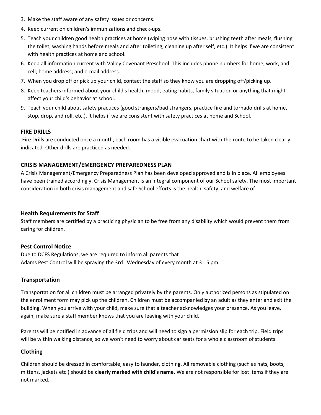- 3. Make the staff aware of any safety issues or concerns.
- 4. Keep current on children's immunizations and check-ups.
- 5. Teach your children good health practices at home (wiping nose with tissues, brushing teeth after meals, flushing the toilet, washing hands before meals and after toileting, cleaning up after self, etc.). It helps if we are consistent with health practices at home and school.
- 6. Keep all information current with Valley Covenant Preschool. This includes phone numbers for home, work, and cell; home address; and e-mail address.
- 7. When you drop off or pick up your child, contact the staff so they know you are dropping off/picking up.
- 8. Keep teachers informed about your child's health, mood, eating habits, family situation or anything that might affect your child's behavior at school.
- 9. Teach your child about safety practices (good strangers/bad strangers, practice fire and tornado drills at home, stop, drop, and roll, etc.). It helps if we are consistent with safety practices at home and School.

#### **FIRE DRILLS**

Fire Drills are conducted once a month, each room has a visible evacuation chart with the route to be taken clearly indicated. Other drills are practiced as needed.

#### **CRISIS MANAGEMENT/EMERGENCY PREPAREDNESS PLAN**

A Crisis Management/Emergency Preparedness Plan has been developed approved and is in place. All employees have been trained accordingly. Crisis Management is an integral component of our School safety. The most important consideration in both crisis management and safe School efforts is the health, safety, and welfare of

## **Health Requirements for Staff**

Staff members are certified by a practicing physician to be free from any disability which would prevent them from caring for children.

## **Pest Control Notice**

Due to DCFS Regulations, we are required to inform all parents that Adams Pest Control will be spraying the 3rd Wednesday of every month at 3:15 pm

#### **Transportation**

Transportation for all children must be arranged privately by the parents. Only authorized persons as stipulated on the enrollment form may pick up the children. Children must be accompanied by an adult as they enter and exit the building. When you arrive with your child, make sure that a teacher acknowledges your presence. As you leave, again, make sure a staff member knows that you are leaving with your child.

Parents will be notified in advance of all field trips and will need to sign a permission slip for each trip. Field trips will be within walking distance, so we won't need to worry about car seats for a whole classroom of students.

## **Clothing**

Children should be dressed in comfortable, easy to launder, clothing. All removable clothing (such as hats, boots, mittens, jackets etc.) should be **clearly marked with child's name**. We are not responsible for lost items if they are not marked.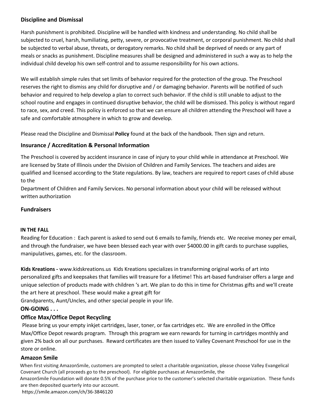## **Discipline and Dismissal**

Harsh punishment is prohibited. Discipline will be handled with kindness and understanding. No child shall be subjected to cruel, harsh, humiliating, petty, severe, or provocative treatment, or corporal punishment. No child shall be subjected to verbal abuse, threats, or derogatory remarks. No child shall be deprived of needs or any part of meals or snacks as punishment. Discipline measures shall be designed and administered in such a way as to help the individual child develop his own self-control and to assume responsibility for his own actions.

We will establish simple rules that set limits of behavior required for the protection of the group. The Preschool reserves the right to dismiss any child for disruptive and / or damaging behavior. Parents will be notified of such behavior and required to help develop a plan to correct such behavior. If the child is still unable to adjust to the school routine and engages in continued disruptive behavior, the child will be dismissed. This policy is without regard to race, sex, and creed. This policy is enforced so that we can ensure all children attending the Preschool will have a safe and comfortable atmosphere in which to grow and develop.

Please read the [Discipline and Dismissal](http://www.valleycov.org/docs/Discipline%20and%20Dismissal.pdf) **[Poli](http://www.valleycov.org/docs/Discipline%20and%20Dismissal.pdf)cy** found at the back of the handbook. Then sign and return.

# **Insurance / Accreditation & Personal Information**

The Preschool is covered by accident insurance in case of injury to your child while in attendance at Preschool. We are licensed by State of Illinois under the Division of Children and Family Services. The teachers and aides are qualified and licensed according to the State regulations. By law, teachers are required to report cases of child abuse to the

Department of Children and Family Services. No personal information about your child will be released without written authorization

## **Fundraisers**

#### **IN THE FALL**

Reading for Education : Each parent is asked to send out 6 emails to family, friends etc. We receive money per email, and through the fundraiser, we have been blessed each year with over \$4000.00 in gift cards to purchase supplies, manipulatives, games, etc. for the classroom.

**Kids Kreations [-](http://www.kidskreations.us/)** [www.kidskreations.us](http://www.kidskreations.us/) [Kid](http://www.kidskreations.us/)s Kreations specializes in transforming original works of art into personalized gifts and keepsakes that families will treasure for a lifetime! This art-based fundraiser offers a large and unique selection of products made with children 's art. We plan to do this in time for Christmas gifts and we'll create the art here at preschool. These would make a great gift for

Grandparents, Aunt/Uncles, and other special people in your life.

## **ON-GOING . . .**

## **Office Max/Office Depot Recycling**

Please bring us your empty inkjet cartridges, laser, toner, or fax cartridges etc. We are enrolled in the Office Max/Office Depot rewards program. Through this program we earn rewards for turning in cartridges monthly and given 2% back on all our purchases. Reward certificates are then issued to Valley Covenant Preschool for use in the store or online.

## **Amazon Smile**

When first visiting AmazonSmile, customers are prompted to select a charitable organization, please choose Valley Evangelical Covenant Church (all proceeds go to the preschool). For eligible purchases at AmazonSmile, the

AmazonSmile Foundation will donate 0.5% of the purchase price to the customer's selected charitable organization. These funds are then deposited quarterly into our account.

<https://smile.amazon.com/ch/36-3846120>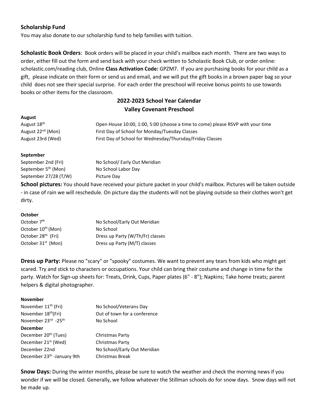# **Scholarship Fund**

You may also donate to our scholarship fund to help families with tuition.

**Scholastic Book Orders**: Book orders will be placed in your child's mailbox each month. There are two ways to order, either fill out the form and send back with your check written to Scholastic Book Club, or order online: scholastic.com/reading club, Online **Class Activation Code:** GPZM7. If you are purchasing books for your child as a gift, please indicate on their form or send us and email, and we will put the gift books in a brown paper bag so your child does not see their special surprise. For each order the preschool will receive bonus points to use towards books or other items for the classroom.

# **2022-2023 School Year Calendar Valley Covenant Preschool**

| <b>AUGUSL</b>                 |                                                                                 |
|-------------------------------|---------------------------------------------------------------------------------|
| August 18 <sup>th</sup>       | Open House 10:00, 1:00, 5:00 (choose a time to come) please RSVP with your time |
| August 22 <sup>nd</sup> (Mon) | First Day of School for Monday/Tuesday Classes                                  |
| August 23rd (Wed)             | First Day of School for Wednesday/Thursday/Friday Classes                       |
|                               |                                                                                 |

#### **September**

**August**

| September 2nd (Fri)             | No School/ Early Out Meridian |
|---------------------------------|-------------------------------|
| September 5 <sup>th</sup> (Mon) | No School Labor Day           |
| September 27/28 (T/W)           | Picture Day                   |

**School pictures:** You should have received your picture packet in your child's mailbox. Pictures will be taken outside - in case of rain we will reschedule. On picture day the students will not be playing outside so their clothes won't get dirty.

#### **October**

| October 7 <sup>th</sup>        | No School/Early Out Meridian     |
|--------------------------------|----------------------------------|
| October 10 <sup>th</sup> (Mon) | No School                        |
| October 28 <sup>th</sup> (Fri) | Dress up Party (W/Th/Fr) classes |
| October 31 <sup>st</sup> (Mon) | Dress up Party (M/T) classes     |

**Dress up Party:** Please no "scary" or "spooky" costumes. We want to prevent any tears from kids who might get scared. Try and stick to characters or occupations. Your child can bring their costume and change in time for the party. Watch for Sign-up sheets for: Treats, Drink, Cups, Paper plates (6" - 8"); Napkins; Take home treats; parent helpers & digital photographer.

#### **November**

| November 11 <sup>th</sup> (Fri)        | No School/Veterans Day       |
|----------------------------------------|------------------------------|
| November 18 <sup>th</sup> (Fri)        | Out of town for a conference |
| November 23rd -25th                    | No School                    |
| <b>December</b>                        |                              |
| December 20 <sup>th</sup> (Tues)       | Christmas Party              |
| December 21 <sup>st</sup> (Wed)        | Christmas Party              |
| December 22nd                          | No School/Early Out Meridian |
| December 23 <sup>th</sup> -January 9th | <b>Christmas Break</b>       |
|                                        |                              |

**Snow Days:** During the winter months, please be sure to watch the weather and check the morning news if you wonder if we will be closed. Generally, we follow whatever the Stillman schools do for snow days. Snow days will not be made up.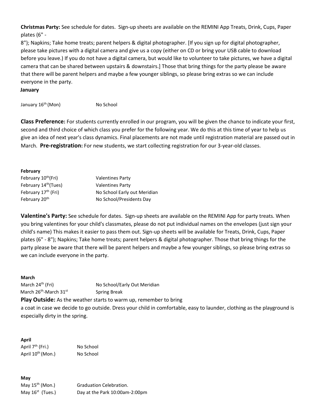**Christmas Party:** See schedule for dates. Sign-up sheets are available on the REMINI App Treats, Drink, Cups, Paper plates (6" -

8"); Napkins; Take home treats; parent helpers & digital photographer. [If you sign up for digital photographer, please take pictures with a digital camera and give us a copy (either on CD or bring your USB cable to download before you leave.) If you do not have a digital camera, but would like to volunteer to take pictures, we have a digital camera that can be shared between upstairs & downstairs.] Those that bring things for the party please be aware that there will be parent helpers and maybe a few younger siblings, so please bring extras so we can include everyone in the party.

**January** 

January 16<sup>th</sup> (Mon) No School

**Class Preference:** For students currently enrolled in our program, you will be given the chance to indicate your first, second and third choice of which class you prefer for the following year. We do this at this time of year to help us give an idea of next year's class dynamics. Final placements are not made until registration material are passed out in March. **Pre-registration:** For new students, we start collecting registration for our 3-year-old classes.

#### **February**

| February 10 <sup>th</sup> (Fri)  | <b>Valentines Party</b>      |
|----------------------------------|------------------------------|
| February 14 <sup>th</sup> (Tues) | <b>Valentines Party</b>      |
| February 17 <sup>th</sup> (Fri)  | No School Early out Meridian |
| February 20 <sup>th</sup>        | No School/Presidents Day     |

**Valentine's Party:** See schedule for dates. Sign-up sheets are available on the REMINI App for party treats. When you bring valentines for your child's classmates, please do not put individual names on the envelopes (just sign your child's name) This makes it easier to pass them out. Sign-up sheets will be available for Treats, Drink, Cups, Paper plates (6" - 8"); Napkins; Take home treats; parent helpers & digital photographer. Those that bring things for the party please be aware that there will be parent helpers and maybe a few younger siblings, so please bring extras so we can include everyone in the party.

#### **March**

March 26<sup>th</sup>-March 31st

March 24<sup>th</sup> (Fri) No School/Early Out Meridian Spring Break

**Play Outside:** As the weather starts to warm up, remember to bring a coat in case we decide to go outside. Dress your child in comfortable, easy to launder, clothing as the playground is especially dirty in the spring.

#### **April**

April 7<sup>th</sup> (Fri.) No School April 10<sup>th</sup> (Mon.) No School

**May** May  $16<sup>st</sup>$  (Tues.)

May 15<sup>th</sup> (Mon.) Graduation Celebration. Day at the Park 10:00am-2:00pm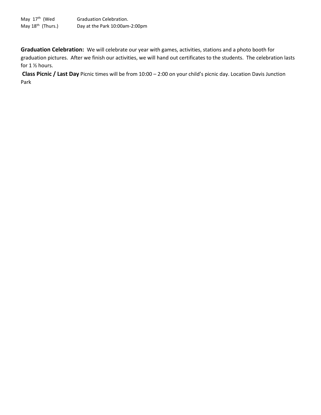May 17<sup>th</sup> (Wed Graduation Celebration. May 18<sup>th</sup> (Thurs.) Day at the Park 10:00am-2:00pm

**Graduation Celebration:** We will celebrate our year with games, activities, stations and a photo booth for graduation pictures. After we finish our activities, we will hand out certificates to the students. The celebration lasts for 1 ½ hours.

**Class Picnic / Last Day** Picnic times will be from 10:00 – 2:00 on your child's picnic day. Location Davis Junction Park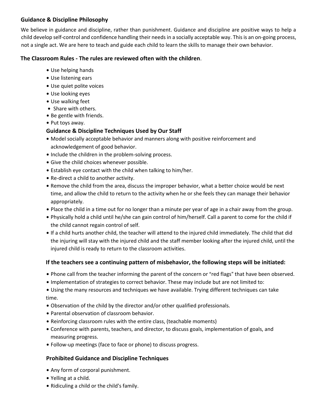# **Guidance & Discipline Philosophy**

We believe in guidance and discipline, rather than punishment. Guidance and discipline are positive ways to help a child develop self-control and confidence handling their needs in a socially acceptable way. This is an on-going process, not a single act. We are here to teach and guide each child to learn the skills to manage their own behavior.

# **The Classroom Rules - The rules are reviewed often with the children**.

- Use helping hands
- Use listening ears
- Use quiet polite voices
- Use looking eyes
- Use walking feet
- Share with others.
- Be gentle with friends.
- Put toys away.

# **Guidance & Discipline Techniques Used by Our Staff**

- . Model socially acceptable behavior and manners along with positive reinforcement and acknowledgement of good behavior.
- Include the children in the problem-solving process.
- Give the child choices whenever possible.
- Establish eye contact with the child when talking to him/her.
- Re-direct a child to another activity.
- Remove the child from the area, discuss the improper behavior, what a better choice would be next time, and allow the child to return to the activity when he or she feels they can manage their behavior appropriately.
- Place the child in a time out for no longer than a minute per year of age in a chair away from the group.
- Physically hold a child until he/she can gain control of him/herself. Call a parent to come for the child if the child cannot regain control of self.
- . If a child hurts another child, the teacher will attend to the injured child immediately. The child that did the injuring will stay with the injured child and the staff member looking after the injured child, until the injured child is ready to return to the classroom activities.

# **If the teachers see a continuing pattern of misbehavior, the following steps will be initiated:**

- . Phone call from the teacher informing the parent of the concern or "red flags" that have been observed.
- $\bullet$  Implementation of strategies to correct behavior. These may include but are not limited to:
- Using the many resources and techniques we have available. Trying different techniques can take time.
- . Observation of the child by the director and/or other qualified professionals.
- . Parental observation of classroom behavior.
- Reinforcing classroom rules with the entire class, (teachable moments)
- Conference with parents, teachers, and director, to discuss goals, implementation of goals, and measuring progress.
- Follow-up meetings (face to face or phone) to discuss progress.

# **Prohibited Guidance and Discipline Techniques**

- Any form of corporal punishment.
- $\bullet$  Yelling at a child.
- Ridiculing a child or the child's family.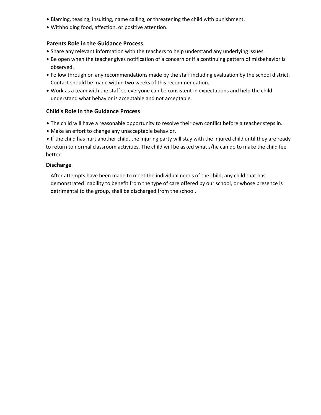- Blaming, teasing, insulting, name calling, or threatening the child with punishment.
- . Withholding food, affection, or positive attention.

#### **Parents Role in the Guidance Process**

- . Share any relevant information with the teachers to help understand any underlying issues.
- . Be open when the teacher gives notification of a concern or if a continuing pattern of misbehavior is observed.
- . Follow through on any recommendations made by the staff including evaluation by the school district. Contact should be made within two weeks of this recommendation.
- . Work as a team with the staff so everyone can be consistent in expectations and help the child understand what behavior is acceptable and not acceptable.

#### **Child's Role in the Guidance Process**

- The child will have a reasonable opportunity to resolve their own conflict before a teacher steps in.
- . Make an effort to change any unacceptable behavior.
- If the child has hurt another child, the injuring party will stay with the injured child until they are ready to return to normal classroom activities. The child will be asked what s/he can do to make the child feel better.

#### **Discharge**

After attempts have been made to meet the individual needs of the child, any child that has demonstrated inability to benefit from the type of care offered by our school, or whose presence is detrimental to the group, shall be discharged from the school.